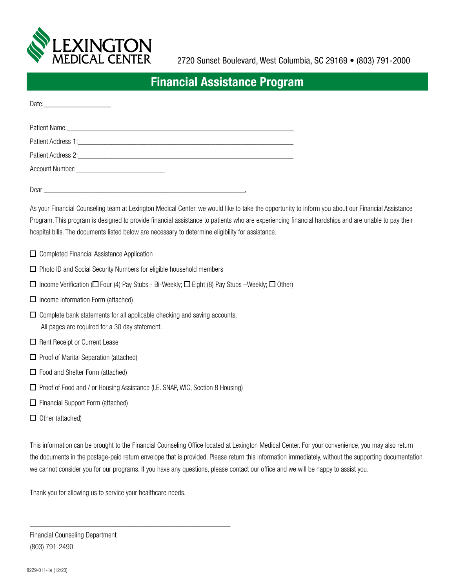

2720 Sunset Boulevard, West Columbia, SC 29169 • (803) 791-2000

## **Financial Assistance Program**

| Dear |  |
|------|--|

As your Financial Counseling team at Lexington Medical Center, we would like to take the opportunity to inform you about our Financial Assistance Program. This program is designed to provide financial assistance to patients who are experiencing financial hardships and are unable to pay their hospital bills. The documents listed below are necessary to determine eligibility for assistance.

- $\Box$  Completed Financial Assistance Application
- $\Box$  Photo ID and Social Security Numbers for eligible household members
- $\Box$  Income Verification ( $\Box$  Four (4) Pay Stubs Bi-Weekly;  $\Box$  Eight (8) Pay Stubs –Weekly;  $\Box$  Other)
- $\Box$  Income Information Form (attached)
- $\Box$  Complete bank statements for all applicable checking and saving accounts. All pages are required for a 30 day statement.
- $\Box$  Rent Receipt or Current Lease
- $\Box$  Proof of Marital Separation (attached)
- □ Food and Shelter Form (attached)
- □ Proof of Food and / or Housing Assistance (I.E. SNAP, WIC, Section 8 Housing)
- $\Box$  Financial Support Form (attached)
- $\Box$  Other (attached)

This information can be brought to the Financial Counseling Office located at Lexington Medical Center. For your convenience, you may also return the documents in the postage-paid return envelope that is provided. Please return this information immediately, without the supporting documentation we cannot consider you for our programs. If you have any questions, please contact our office and we will be happy to assist you.

Thank you for allowing us to service your healthcare needs.

\_\_\_\_\_\_\_\_\_\_\_\_\_\_\_\_\_\_\_\_\_\_\_\_\_\_\_\_\_\_\_\_\_\_\_\_\_\_\_\_\_\_\_\_\_\_\_\_\_\_\_\_\_\_

Financial Counseling Department (803) 791-2490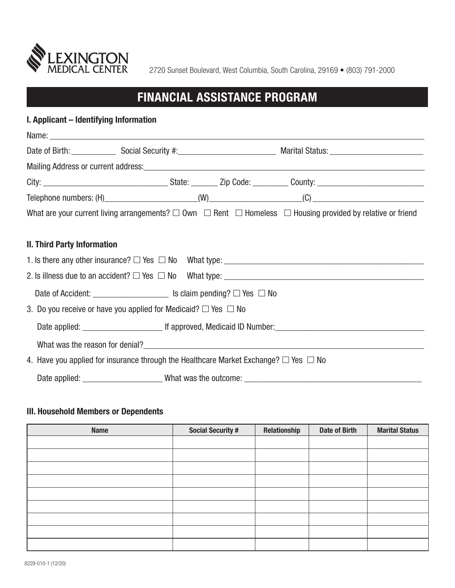

# **FINANCIAL ASSISTANCE PROGRAM**

| I. Applicant – Identifying Information                                                                  |                                                                                                                                 |
|---------------------------------------------------------------------------------------------------------|---------------------------------------------------------------------------------------------------------------------------------|
|                                                                                                         |                                                                                                                                 |
|                                                                                                         |                                                                                                                                 |
|                                                                                                         |                                                                                                                                 |
|                                                                                                         |                                                                                                                                 |
|                                                                                                         |                                                                                                                                 |
|                                                                                                         | What are your current living arrangements? $\Box$ Own $\Box$ Rent $\Box$ Homeless $\Box$ Housing provided by relative or friend |
| <b>II. Third Party Information</b>                                                                      |                                                                                                                                 |
|                                                                                                         |                                                                                                                                 |
|                                                                                                         |                                                                                                                                 |
| Date of Accident: $\sqrt{\phantom{a}}$ Section 2010 10 $\sqrt{a}$ Section pending? $\Box$ Yes $\Box$ No |                                                                                                                                 |
| 3. Do you receive or have you applied for Medicaid? $\Box$ Yes $\Box$ No                                |                                                                                                                                 |
|                                                                                                         |                                                                                                                                 |
|                                                                                                         |                                                                                                                                 |
| 4. Have you applied for insurance through the Healthcare Market Exchange? $\Box$ Yes $\Box$ No          |                                                                                                                                 |
|                                                                                                         |                                                                                                                                 |

#### **III. Household Members or Dependents**

| <b>Name</b> | <b>Social Security #</b> | Relationship | <b>Date of Birth</b> | <b>Marital Status</b> |
|-------------|--------------------------|--------------|----------------------|-----------------------|
|             |                          |              |                      |                       |
|             |                          |              |                      |                       |
|             |                          |              |                      |                       |
|             |                          |              |                      |                       |
|             |                          |              |                      |                       |
|             |                          |              |                      |                       |
|             |                          |              |                      |                       |
|             |                          |              |                      |                       |
|             |                          |              |                      |                       |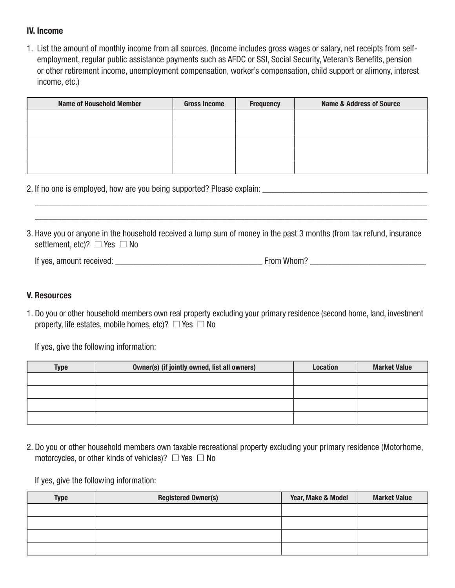#### **IV. Income**

1. List the amount of monthly income from all sources. (Income includes gross wages or salary, net receipts from selfemployment, regular public assistance payments such as AFDC or SSI, Social Security, Veteran's Benefits, pension or other retirement income, unemployment compensation, worker's compensation, child support or alimony, interest income, etc.)

| <b>Name of Household Member</b> | <b>Gross Income</b> | <b>Frequency</b> | <b>Name &amp; Address of Source</b> |
|---------------------------------|---------------------|------------------|-------------------------------------|
|                                 |                     |                  |                                     |
|                                 |                     |                  |                                     |
|                                 |                     |                  |                                     |
|                                 |                     |                  |                                     |
|                                 |                     |                  |                                     |

2. If no one is employed, how are you being supported? Please explain:

3. Have you or anyone in the household received a lump sum of money in the past 3 months (from tax refund, insurance settlement, etc)?  $\Box$  Yes  $\Box$  No

\_\_\_\_\_\_\_\_\_\_\_\_\_\_\_\_\_\_\_\_\_\_\_\_\_\_\_\_\_\_\_\_\_\_\_\_\_\_\_\_\_\_\_\_\_\_\_\_\_\_\_\_\_\_\_\_\_\_\_\_\_\_\_\_\_\_\_\_\_\_\_\_\_\_\_\_\_\_\_\_\_\_\_\_\_\_\_\_ \_\_\_\_\_\_\_\_\_\_\_\_\_\_\_\_\_\_\_\_\_\_\_\_\_\_\_\_\_\_\_\_\_\_\_\_\_\_\_\_\_\_\_\_\_\_\_\_\_\_\_\_\_\_\_\_\_\_\_\_\_\_\_\_\_\_\_\_\_\_\_\_\_\_\_\_\_\_\_\_\_\_\_\_\_\_\_\_

| If yes.<br>Whom.<br>. amount received:<br>rom- |
|------------------------------------------------|
|------------------------------------------------|

#### **V. Resources**

1. Do you or other household members own real property excluding your primary residence (second home, land, investment property, life estates, mobile homes, etc)?  $\Box$  Yes  $\Box$  No

If yes, give the following information:

| <b>Type</b> | Owner(s) (if jointly owned, list all owners) | <b>Location</b> | <b>Market Value</b> |
|-------------|----------------------------------------------|-----------------|---------------------|
|             |                                              |                 |                     |
|             |                                              |                 |                     |
|             |                                              |                 |                     |
|             |                                              |                 |                     |

2. Do you or other household members own taxable recreational property excluding your primary residence (Motorhome, motorcycles, or other kinds of vehicles)?  $\Box$  Yes  $\Box$  No

If yes, give the following information:

| <b>Type</b> | <b>Registered Owner(s)</b> | Year, Make & Model | <b>Market Value</b> |
|-------------|----------------------------|--------------------|---------------------|
|             |                            |                    |                     |
|             |                            |                    |                     |
|             |                            |                    |                     |
|             |                            |                    |                     |